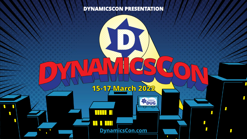#### **DYNAMICSCON PRESENTATION**

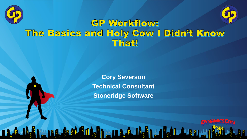



## GP Workflows The Basics and Holy Cow I Didn't Know That!

**Cory Severson Technical Consultant Stoneridge Software**

<u> 1999 - An Andreas Andreas Andreas Andreas Andreas Andreas Andreas Andreas Andreas Andreas Andreas Andreas Andreas Andreas Andreas Andreas Andreas Andreas Andreas Andreas Andreas Andreas Andreas Andreas Andreas Andreas An</u>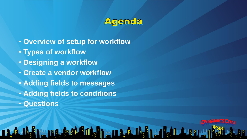## Agenda

**BALL** 

- **Overview of setup for workflow**
- **Types of workflow**
- **Designing a workflow**
- **Create a vendor workflow**
- **Adding fields to messages**
- **Adding fields to conditions**
- **Questions**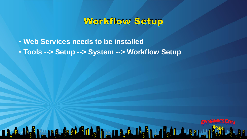### Workflow Setup

- **Web Services needs to be installed**
- **Tools --> Setup --> System --> Workflow Setup**

<u>n, A M. An, A M. And. An, A M. An, Al, An, An, An, An</u>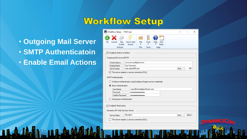### Workflow Setup

- **Outgoing Mail Server**
- **SMTP Authenticatoin**
- **Enable Email Actions**

| Workflow Setup - TWO (sa)                                        |                             |                                     |       |       |      |             |  |      |  |       | × |
|------------------------------------------------------------------|-----------------------------|-------------------------------------|-------|-------|------|-------------|--|------|--|-------|---|
|                                                                  |                             |                                     |       |       |      |             |  |      |  |       |   |
|                                                                  |                             |                                     |       |       |      |             |  |      |  |       |   |
| ОΚ<br>Cancel                                                     | E-Mail                      | Test E-Mail<br>Action               | File  | Tools | Help | Add<br>Note |  |      |  |       |   |
| <b>Actions</b>                                                   |                             | File                                | Tools | Help  |      |             |  |      |  |       |   |
|                                                                  |                             |                                     |       |       |      |             |  |      |  |       |   |
| Enable E-Mail for Workflow<br>⋈                                  |                             |                                     |       |       |      |             |  |      |  |       |   |
| Outgoing Mail Server (SMTP)                                      |                             |                                     |       |       |      |             |  |      |  |       |   |
|                                                                  |                             |                                     |       |       |      |             |  |      |  |       |   |
| E-Mail Address                                                   |                             | seversoncory@gmail.com              |       |       |      |             |  |      |  |       |   |
| Display Name                                                     |                             | Cory Severson<br>smtp.office365.com |       |       |      |             |  |      |  |       |   |
|                                                                  | Server Name                 |                                     |       |       |      |             |  | Port |  | 587   |   |
| $\Box$ This server requires a secure connection (SSL)            |                             |                                     |       |       |      |             |  |      |  |       |   |
| <b>SMTP Authentication</b>                                       |                             |                                     |       |       |      |             |  |      |  |       |   |
| Windows Authentication using Database Engine service credentials |                             |                                     |       |       |      |             |  |      |  |       |   |
|                                                                  |                             |                                     |       |       |      |             |  |      |  |       |   |
| $\odot$                                                          | <b>Basic Authentication</b> |                                     |       |       |      |             |  |      |  |       |   |
| User Name                                                        |                             | corys@stoneridgesoftware.com        |       |       |      |             |  |      |  |       |   |
| Password                                                         |                             |                                     |       |       |      |             |  |      |  |       |   |
| Confirm Password                                                 |                             |                                     |       |       |      |             |  |      |  |       |   |
| Anonymous Authentication                                         |                             |                                     |       |       |      |             |  |      |  |       |   |
|                                                                  |                             |                                     |       |       |      |             |  |      |  |       |   |
| Enable E-Mail Actions<br>₩                                       |                             |                                     |       |       |      |             |  |      |  |       |   |
| Dynamics GP Web Services Server                                  |                             |                                     |       |       |      |             |  |      |  |       |   |
|                                                                  | P52-0873<br>Server Name     |                                     |       |       |      |             |  |      |  | 48620 |   |
|                                                                  |                             |                                     |       |       |      |             |  | Port |  |       |   |
| This server requires a secure connection (SSL)                   |                             |                                     |       |       |      |             |  |      |  |       |   |
|                                                                  |                             |                                     |       |       |      |             |  |      |  |       |   |
|                                                                  |                             |                                     |       |       |      |             |  |      |  |       |   |
|                                                                  |                             |                                     |       |       |      |             |  |      |  |       |   |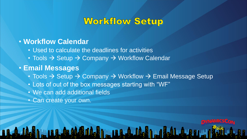### Workflow Setup

#### • **Workflow Calendar**

- Used to calculate the deadlines for activities
- Tools → Setup → Company → Workflow Calendar

#### • **Email Messages**

• Tools → Setup → Company → Workflow → Email Message Setup

**AULA MANIFOLA** 

- Lots of out of the box messages starting with "WF"
- We can add additional fields
- Can create your own.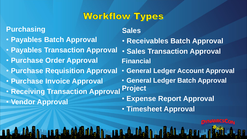# Workflow Types

### **Purchasing**

- **Payables Batch Approval**
- **Payables Transaction Approval**
- **Purchase Order Approval**
- **Purchase Requisition Approval**
- **Purchase Invoice Approval**
- **Receiving Transaction Approval**
- **Vendor Approval**

**Sales**

- **Receivables Batch Approval**
- **Sales Transaction Approval Financial**
- **General Ledger Account Approval**
- **General Ledger Batch Approval Project**
- **Expense Report Approval**
- **Timesheet Approval**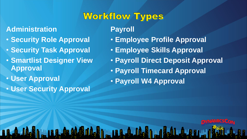# Workflow Types

### **Administration**

- **Security Role Approval**
- **Security Task Approval**
- **Smartlist Designer View Approval**
- **User Approval**
- **User Security Approval**

**Payroll**

- **Employee Profile Approval**
- **Employee Skills Approval**
- **Payroll Direct Deposit Approval**
- **Payroll Timecard Approval**
- **Payroll W4 Approval**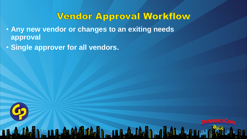### Vendor Approval Workflow

- **Any new vendor or changes to an exiting needs approval**
- **Single approver for all vendors.**

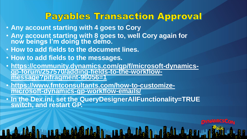### Payables Transaction Approval

**Anne Andelparadelin** 

- **Any account starting with 4 goes to Cory**
- **Any account starting with 8 goes to, well Cory again for now beings I'm doing the demo.**
- **How to add fields to the document lines.**
- **How to add fields to the messages.**
- **[https://community.dynamics.com/gp/f/microsoft-dynamics](https://community.dynamics.com/gp/f/microsoft-dynamics-gp-forum/257570/adding-fields-to-the-workflow-message?pifragment-96056=1)gp-forum/257570/adding-fields-to-the-workflowmessage?pifragment-96056=1**
- **[https://www.fmtconsultants.com/how-to-customize](https://www.fmtconsultants.com/how-to-customize-microsoft-dynamics-gp-workflow-emails/)microsoft-dynamics-gp-workflow-emails/**
- **In the Dex.ini, set the QueryDesignerAllFunctionality=TRUE switch, and restart GP.**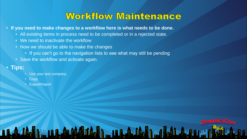### Workflow Maintenance

**HALL ALL ALL ALL AND** 

- **If you need to make changes to a workflow here is what needs to be done.**
	- All existing items in process need to be completed or in a rejected state.
	- We need to inactivate the workflow
	- Now we should be able to make the changes
		- If you can't go to the navigation lists to see what may still be pending
	- Save the workflow and activate again.

#### • **Tips:**

- Use your test company.
- Copy
- Export/Import